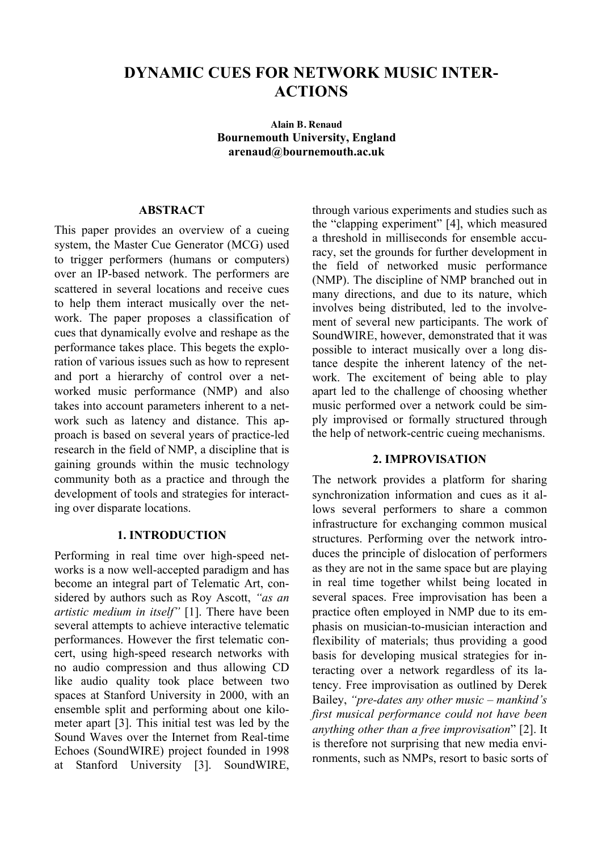# **DYNAMIC CUES FOR NETWORK MUSIC INTER-ACTIONS**

**Alain B. Renaud Bournemouth University, England arenaud@bournemouth.ac.uk**

## **ABSTRACT**

This paper provides an overview of a cueing system, the Master Cue Generator (MCG) used to trigger performers (humans or computers) over an IP-based network. The performers are scattered in several locations and receive cues to help them interact musically over the network. The paper proposes a classification of cues that dynamically evolve and reshape as the performance takes place. This begets the exploration of various issues such as how to represent and port a hierarchy of control over a networked music performance (NMP) and also takes into account parameters inherent to a network such as latency and distance. This approach is based on several years of practice-led research in the field of NMP, a discipline that is gaining grounds within the music technology community both as a practice and through the development of tools and strategies for interacting over disparate locations.

#### **1. INTRODUCTION**

Performing in real time over high-speed networks is a now well-accepted paradigm and has become an integral part of Telematic Art, considered by authors such as Roy Ascott, *"as an artistic medium in itself"* [1]. There have been several attempts to achieve interactive telematic performances. However the first telematic concert, using high-speed research networks with no audio compression and thus allowing CD like audio quality took place between two spaces at Stanford University in 2000, with an ensemble split and performing about one kilometer apart [3]. This initial test was led by the Sound Waves over the Internet from Real-time Echoes (SoundWIRE) project founded in 1998 at Stanford University [3]. SoundWIRE,

through various experiments and studies such as the "clapping experiment" [4], which measured a threshold in milliseconds for ensemble accuracy, set the grounds for further development in the field of networked music performance (NMP). The discipline of NMP branched out in many directions, and due to its nature, which involves being distributed, led to the involvement of several new participants. The work of SoundWIRE, however, demonstrated that it was possible to interact musically over a long distance despite the inherent latency of the network. The excitement of being able to play apart led to the challenge of choosing whether music performed over a network could be simply improvised or formally structured through the help of network-centric cueing mechanisms.

#### **2. IMPROVISATION**

The network provides a platform for sharing synchronization information and cues as it allows several performers to share a common infrastructure for exchanging common musical structures. Performing over the network introduces the principle of dislocation of performers as they are not in the same space but are playing in real time together whilst being located in several spaces. Free improvisation has been a practice often employed in NMP due to its emphasis on musician-to-musician interaction and flexibility of materials; thus providing a good basis for developing musical strategies for interacting over a network regardless of its latency. Free improvisation as outlined by Derek Bailey, *"pre-dates any other music – mankind's first musical performance could not have been anything other than a free improvisation*" [2]. It is therefore not surprising that new media environments, such as NMPs, resort to basic sorts of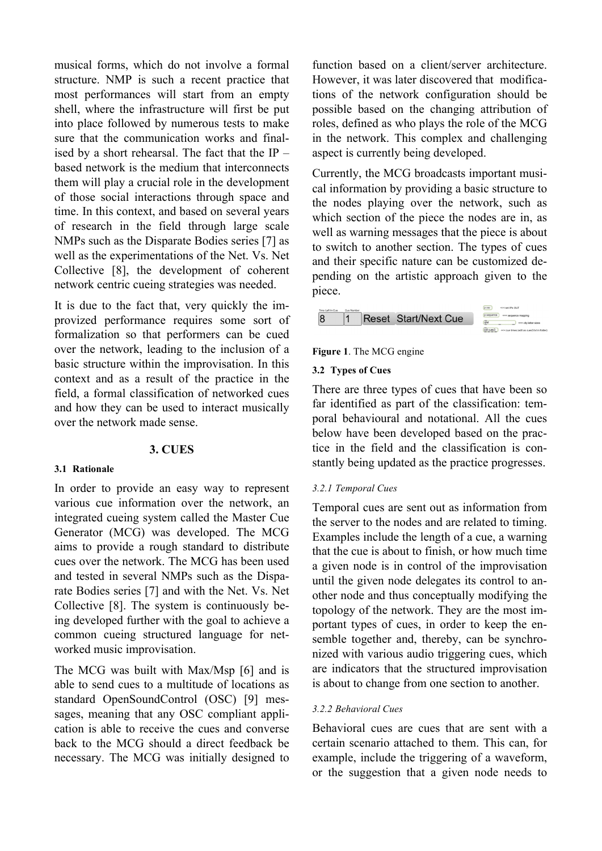musical forms, which do not involve a formal structure. NMP is such a recent practice that most performances will start from an empty shell, where the infrastructure will first be put into place followed by numerous tests to make sure that the communication works and finalised by a short rehearsal. The fact that the  $IP$ based network is the medium that interconnects them will play a crucial role in the development of those social interactions through space and time. In this context, and based on several years of research in the field through large scale NMPs such as the Disparate Bodies series [7] as well as the experimentations of the Net. Vs. Net Collective [8], the development of coherent network centric cueing strategies was needed.

It is due to the fact that, very quickly the improvized performance requires some sort of formalization so that performers can be cued over the network, leading to the inclusion of a basic structure within the improvisation. In this context and as a result of the practice in the field, a formal classification of networked cues and how they can be used to interact musically over the network made sense.

## **3. CUES**

#### **3.1 Rationale**

In order to provide an easy way to represent various cue information over the network, an integrated cueing system called the Master Cue Generator (MCG) was developed. The MCG aims to provide a rough standard to distribute cues over the network. The MCG has been used and tested in several NMPs such as the Disparate Bodies series [7] and with the Net. Vs. Net Collective [8]. The system is continuously being developed further with the goal to achieve a common cueing structured language for networked music improvisation.

The MCG was built with Max/Msp [6] and is able to send cues to a multitude of locations as standard OpenSoundControl (OSC) [9] messages, meaning that any OSC compliant application is able to receive the cues and converse back to the MCG should a direct feedback be necessary. The MCG was initially designed to

function based on a client/server architecture. However, it was later discovered that modifications of the network configuration should be possible based on the changing attribution of roles, defined as who plays the role of the MCG in the network. This complex and challenging aspect is currently being developed.

Currently, the MCG broadcasts important musical information by providing a basic structure to the nodes playing over the network, such as which section of the piece the nodes are in, as well as warning messages that the piece is about to switch to another section. The types of cues and their specific nature can be customized depending on the artistic approach given to the piece.



## **Figure 1**. The MCG engine

#### **3.2 Types of Cues**

There are three types of cues that have been so far identified as part of the classification: temporal behavioural and notational. All the cues below have been developed based on the practice in the field and the classification is constantly being updated as the practice progresses.

#### *3.2.1 Temporal Cues*

Temporal cues are sent out as information from the server to the nodes and are related to timing. Examples include the length of a cue, a warning that the cue is about to finish, or how much time a given node is in control of the improvisation until the given node delegates its control to another node and thus conceptually modifying the topology of the network. They are the most important types of cues, in order to keep the ensemble together and, thereby, can be synchronized with various audio triggering cues, which are indicators that the structured improvisation is about to change from one section to another.

#### *3.2.2 Behavioral Cues*

Behavioral cues are cues that are sent with a certain scenario attached to them. This can, for example, include the triggering of a waveform, or the suggestion that a given node needs to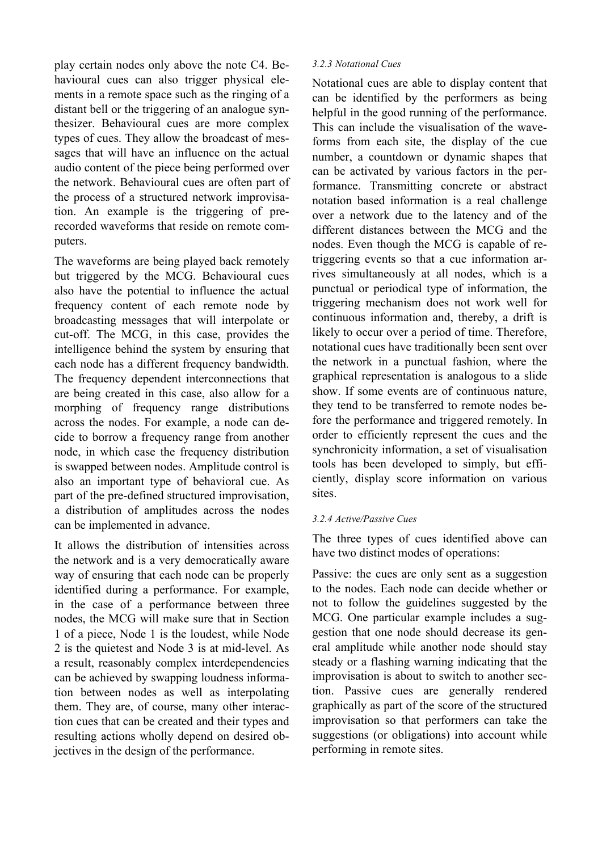play certain nodes only above the note C4. Behavioural cues can also trigger physical elements in a remote space such as the ringing of a distant bell or the triggering of an analogue synthesizer. Behavioural cues are more complex types of cues. They allow the broadcast of messages that will have an influence on the actual audio content of the piece being performed over the network. Behavioural cues are often part of the process of a structured network improvisation. An example is the triggering of prerecorded waveforms that reside on remote computers.

The waveforms are being played back remotely but triggered by the MCG. Behavioural cues also have the potential to influence the actual frequency content of each remote node by broadcasting messages that will interpolate or cut-off. The MCG, in this case, provides the intelligence behind the system by ensuring that each node has a different frequency bandwidth. The frequency dependent interconnections that are being created in this case, also allow for a morphing of frequency range distributions across the nodes. For example, a node can decide to borrow a frequency range from another node, in which case the frequency distribution is swapped between nodes. Amplitude control is also an important type of behavioral cue. As part of the pre-defined structured improvisation, a distribution of amplitudes across the nodes can be implemented in advance.

It allows the distribution of intensities across the network and is a very democratically aware way of ensuring that each node can be properly identified during a performance. For example, in the case of a performance between three nodes, the MCG will make sure that in Section 1 of a piece, Node 1 is the loudest, while Node 2 is the quietest and Node 3 is at mid-level. As a result, reasonably complex interdependencies can be achieved by swapping loudness information between nodes as well as interpolating them. They are, of course, many other interaction cues that can be created and their types and resulting actions wholly depend on desired objectives in the design of the performance.

## *3.2.3 Notational Cues*

Notational cues are able to display content that can be identified by the performers as being helpful in the good running of the performance. This can include the visualisation of the waveforms from each site, the display of the cue number, a countdown or dynamic shapes that can be activated by various factors in the performance. Transmitting concrete or abstract notation based information is a real challenge over a network due to the latency and of the different distances between the MCG and the nodes. Even though the MCG is capable of retriggering events so that a cue information arrives simultaneously at all nodes, which is a punctual or periodical type of information, the triggering mechanism does not work well for continuous information and, thereby, a drift is likely to occur over a period of time. Therefore, notational cues have traditionally been sent over the network in a punctual fashion, where the graphical representation is analogous to a slide show. If some events are of continuous nature, they tend to be transferred to remote nodes before the performance and triggered remotely. In order to efficiently represent the cues and the synchronicity information, a set of visualisation tools has been developed to simply, but efficiently, display score information on various sites.

#### *3.2.4 Active/Passive Cues*

The three types of cues identified above can have two distinct modes of operations:

Passive: the cues are only sent as a suggestion to the nodes. Each node can decide whether or not to follow the guidelines suggested by the MCG. One particular example includes a suggestion that one node should decrease its general amplitude while another node should stay steady or a flashing warning indicating that the improvisation is about to switch to another section. Passive cues are generally rendered graphically as part of the score of the structured improvisation so that performers can take the suggestions (or obligations) into account while performing in remote sites.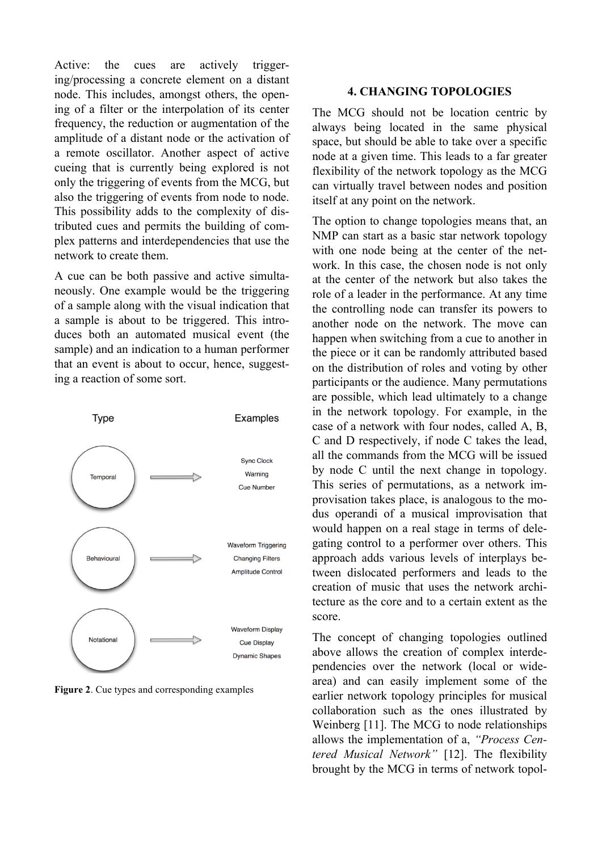Active: the cues are actively triggering/processing a concrete element on a distant node. This includes, amongst others, the opening of a filter or the interpolation of its center frequency, the reduction or augmentation of the amplitude of a distant node or the activation of a remote oscillator. Another aspect of active cueing that is currently being explored is not only the triggering of events from the MCG, but also the triggering of events from node to node. This possibility adds to the complexity of distributed cues and permits the building of complex patterns and interdependencies that use the network to create them.

A cue can be both passive and active simultaneously. One example would be the triggering of a sample along with the visual indication that a sample is about to be triggered. This introduces both an automated musical event (the sample) and an indication to a human performer that an event is about to occur, hence, suggesting a reaction of some sort.



**Figure 2**. Cue types and corresponding examples

### **4. CHANGING TOPOLOGIES**

The MCG should not be location centric by always being located in the same physical space, but should be able to take over a specific node at a given time. This leads to a far greater flexibility of the network topology as the MCG can virtually travel between nodes and position itself at any point on the network.

The option to change topologies means that, an NMP can start as a basic star network topology with one node being at the center of the network. In this case, the chosen node is not only at the center of the network but also takes the role of a leader in the performance. At any time the controlling node can transfer its powers to another node on the network. The move can happen when switching from a cue to another in the piece or it can be randomly attributed based on the distribution of roles and voting by other participants or the audience. Many permutations are possible, which lead ultimately to a change in the network topology. For example, in the case of a network with four nodes, called A, B, C and D respectively, if node C takes the lead, all the commands from the MCG will be issued by node C until the next change in topology. This series of permutations, as a network improvisation takes place, is analogous to the modus operandi of a musical improvisation that would happen on a real stage in terms of delegating control to a performer over others. This approach adds various levels of interplays between dislocated performers and leads to the creation of music that uses the network architecture as the core and to a certain extent as the score.

The concept of changing topologies outlined above allows the creation of complex interdependencies over the network (local or widearea) and can easily implement some of the earlier network topology principles for musical collaboration such as the ones illustrated by Weinberg [11]. The MCG to node relationships allows the implementation of a, *"Process Centered Musical Network"* [12]. The flexibility brought by the MCG in terms of network topol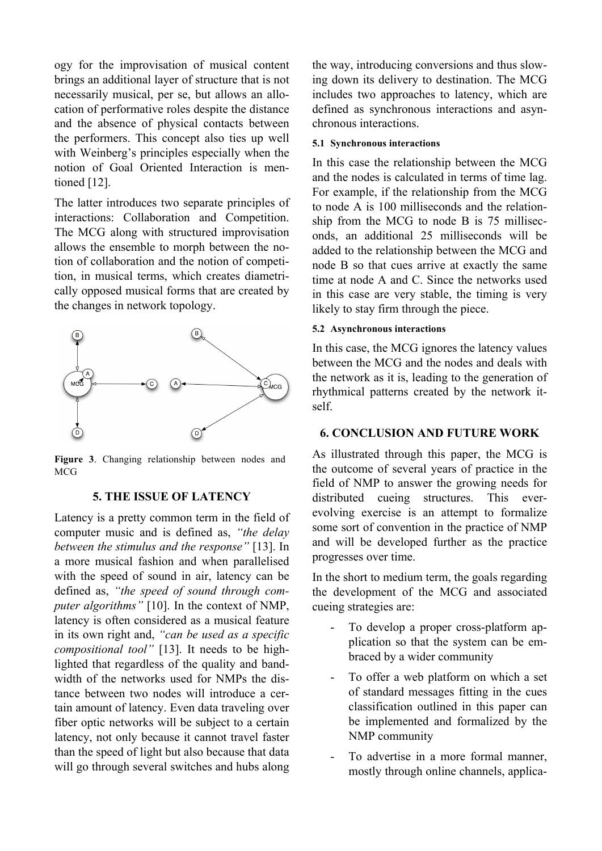ogy for the improvisation of musical content the w brings an additional layer of structure that is not ing do necessarily musical, per se, but allows an allo-<br>included cation of performative roles despite the distance and the absence of physical contacts between chron the performers. This concept also ties up well  $\overline{5.1}$  Sy with Weinberg's principles especially when the notion of Goal Oriented Interaction is mentioned [12]. **Goding Interactional Interactions** is mentioned (Weinberg 2005). The latter interaction is mentioned and latter in

The latter introduces two separate principles of interactions: Collaboration and interactions: Collaboration and interaction and interactions: Collaboration and interactions: Collaboration and interactions: Collaboration a interactions: Collaboration and Competition. The MCG along with structured improvisation  $\frac{1}{\text{ends}}$ allows the ensemble to morph between the no-<br>added tion of collaboration and the notion of competition, in musical terms, which creates diametrically opposed musical forms that are created by the changes in network topology.



**Figure 3**. Changing relationship between nodes and MCG

#### **5. THE ISSUE OF LATENCY**

Latency is a pretty common term in the field of computer music and is defined as, *"the delay between the stimulus and the response"* [13]. In a more musical fashion and when parallelised with the speed of sound in air, latency can be defined as, *"the speed of sound through computer algorithms"* [10]. In the context of NMP, latency is often considered as a musical feature in its own right and, *"can be used as a specific compositional tool"* [13]. It needs to be highlighted that regardless of the quality and bandwidth of the networks used for NMPs the distance between two nodes will introduce a certain amount of latency. Even data traveling over fiber optic networks will be subject to a certain latency, not only because it cannot travel faster than the speed of light but also because that data will go through several switches and hubs along the way, introducing conversions and thus slowing down its delivery to destination. The MCG includes two approaches to latency, which are defined as synchronous interactions and asynchronous interactions.

#### **5.1 Synchronous interactions**

In this case the relationship between the MCG and the nodes is calculated in terms of time lag. For example, if the relationship from the MCG to node A is 100 milliseconds and the relationship from the MCG to node B is 75 milliseconds, an additional 25 milliseconds will be added to the relationship between the MCG and node B so that cues arrive at exactly the same time at node A and C. Since the networks used in this case are very stable, the timing is very likely to stay firm through the piece.

## **5.2 Asynchronous interactions**

In this case, the MCG ignores the latency values between the MCG and the nodes and deals with the network as it is, leading to the generation of rhythmical patterns created by the network itself.

#### **6. CONCLUSION AND FUTURE WORK**

As illustrated through this paper, the MCG is the outcome of several years of practice in the field of NMP to answer the growing needs for distributed cueing structures. This everevolving exercise is an attempt to formalize some sort of convention in the practice of NMP and will be developed further as the practice progresses over time.

In the short to medium term, the goals regarding the development of the MCG and associated cueing strategies are:

- To develop a proper cross-platform application so that the system can be embraced by a wider community  $\overline{a}$
- To offer a web platform on which a set of standard messages fitting in the cues classification outlined in this paper can be implemented and formalized by the NMP community
- To advertise in a more formal manner, mostly through online channels, applica-